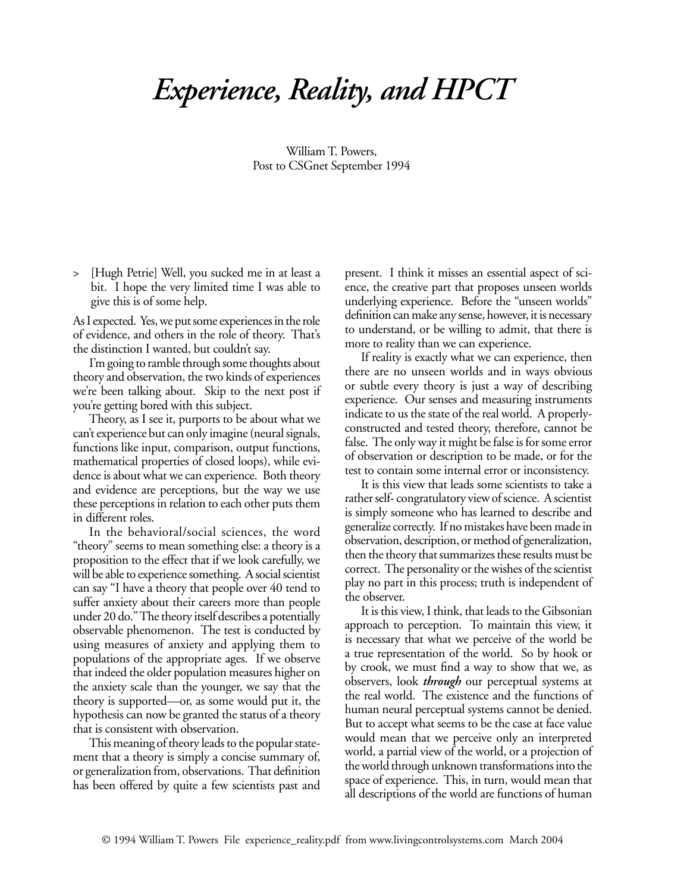## *Experience, Reality, and HPCT*

William T. Powers, Post to CSGnet September 1994

> [Hugh Petrie] Well, you sucked me in at least a bit. I hope the very limited time I was able to give this is of some help.

As I expected. Yes, we put some experiences in the role of evidence, and others in the role of theory. That's the distinction I wanted, but couldn't say.

I'm going to ramble through some thoughts about theory and observation, the two kinds of experiences we're been talking about. Skip to the next post if you're getting bored with this subject.

Theory, as I see it, purports to be about what we can't experience but can only imagine (neural signals, functions like input, comparison, output functions, mathematical properties of closed loops), while evidence is about what we can experience. Both theory and evidence are perceptions, but the way we use these perceptions in relation to each other puts them in different roles.

In the behavioral/social sciences, the word "theory" seems to mean something else: a theory is a proposition to the effect that if we look carefully, we will be able to experience something. A social scientist can say "I have a theory that people over 40 tend to suffer anxiety about their careers more than people under 20 do." The theory itself describes a potentially observable phenomenon. The test is conducted by using measures of anxiety and applying them to populations of the appropriate ages. If we observe that indeed the older population measures higher on the anxiety scale than the younger, we say that the theory is supported—or, as some would put it, the hypothesis can now be granted the status of a theory that is consistent with observation.

This meaning of theory leads to the popular statement that a theory is simply a concise summary of, or generalization from, observations. That definition has been offered by quite a few scientists past and present. I think it misses an essential aspect of science, the creative part that proposes unseen worlds underlying experience. Before the "unseen worlds" definition can make any sense, however, it is necessary to understand, or be willing to admit, that there is more to reality than we can experience.

If reality is exactly what we can experience, then there are no unseen worlds and in ways obvious or subtle every theory is just a way of describing experience. Our senses and measuring instruments indicate to us the state of the real world. A properlyconstructed and tested theory, therefore, cannot be false. The only way it might be false is for some error of observation or description to be made, or for the test to contain some internal error or inconsistency.

It is this view that leads some scientists to take a rather self- congratulatory view of science. A scientist is simply someone who has learned to describe and generalize correctly. If no mistakes have been made in observation, description, or method of generalization, then the theory that summarizes these results must be correct. The personality or the wishes of the scientist play no part in this process; truth is independent of the observer.

It is this view, I think, that leads to the Gibsonian approach to perception. To maintain this view, it is necessary that what we perceive of the world be a true representation of the world. So by hook or by crook, we must find a way to show that we, as observers, look *through* our perceptual systems at the real world. The existence and the functions of human neural perceptual systems cannot be denied. But to accept what seems to be the case at face value would mean that we perceive only an interpreted world, a partial view of the world, or a projection of the world through unknown transformations into the space of experience. This, in turn, would mean that all descriptions of the world are functions of human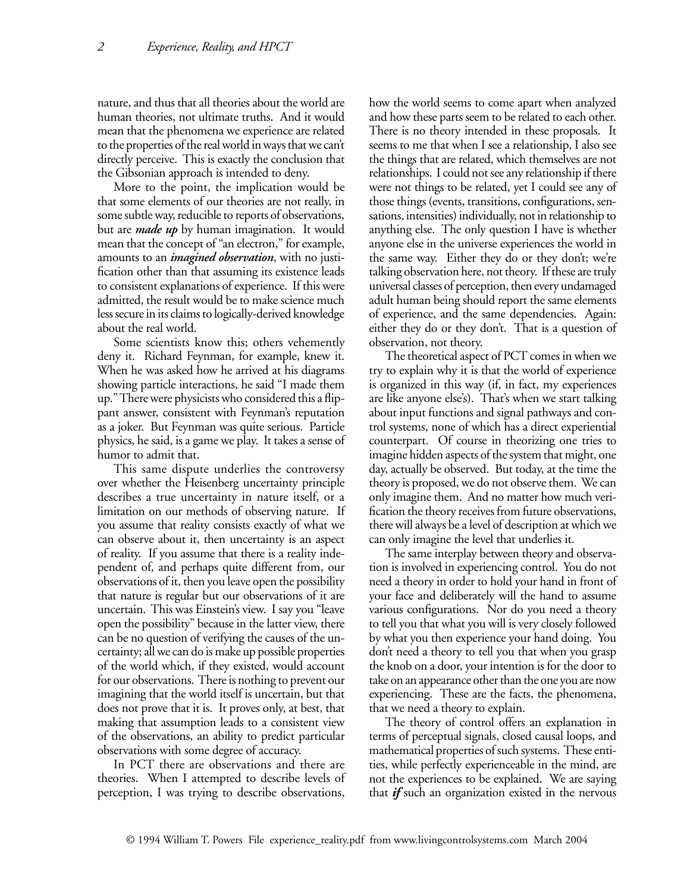nature, and thus that all theories about the world are human theories, not ultimate truths. And it would mean that the phenomena we experience are related to the properties of the real world in ways that we can't directly perceive. This is exactly the conclusion that the Gibsonian approach is intended to deny.

More to the point, the implication would be that some elements of our theories are not really, in some subtle way, reducible to reports of observations, but are *made up* by human imagination. It would mean that the concept of "an electron," for example, amounts to an *imagined observation*, with no justification other than that assuming its existence leads to consistent explanations of experience. If this were admitted, the result would be to make science much less secure in its claims to logically-derived knowledge about the real world.

Some scientists know this; others vehemently deny it. Richard Feynman, for example, knew it. When he was asked how he arrived at his diagrams showing particle interactions, he said "I made them up." There were physicists who considered this a flippant answer, consistent with Feynman's reputation as a joker. But Feynman was quite serious. Particle physics, he said, is a game we play. It takes a sense of humor to admit that.

This same dispute underlies the controversy over whether the Heisenberg uncertainty principle describes a true uncertainty in nature itself, or a limitation on our methods of observing nature. If you assume that reality consists exactly of what we can observe about it, then uncertainty is an aspect of reality. If you assume that there is a reality independent of, and perhaps quite different from, our observations of it, then you leave open the possibility that nature is regular but our observations of it are uncertain. This was Einstein's view. I say you "leave open the possibility" because in the latter view, there can be no question of verifying the causes of the uncertainty; all we can do is make up possible properties of the world which, if they existed, would account for our observations. There is nothing to prevent our imagining that the world itself is uncertain, but that does not prove that it is. It proves only, at best, that making that assumption leads to a consistent view of the observations, an ability to predict particular observations with some degree of accuracy.

In PCT there are observations and there are theories. When I attempted to describe levels of perception, I was trying to describe observations,

how the world seems to come apart when analyzed and how these parts seem to be related to each other. There is no theory intended in these proposals. It seems to me that when I see a relationship, I also see the things that are related, which themselves are not relationships. I could not see any relationship if there were not things to be related, yet I could see any of those things (events, transitions, configurations, sensations, intensities) individually, not in relationship to anything else. The only question I have is whether anyone else in the universe experiences the world in the same way. Either they do or they don't; we're talking observation here, not theory. If these are truly universal classes of perception, then every undamaged adult human being should report the same elements of experience, and the same dependencies. Again: either they do or they don't. That is a question of observation, not theory.

The theoretical aspect of PCT comes in when we try to explain why it is that the world of experience is organized in this way (if, in fact, my experiences are like anyone else's). That's when we start talking about input functions and signal pathways and control systems, none of which has a direct experiential counterpart. Of course in theorizing one tries to imagine hidden aspects of the system that might, one day, actually be observed. But today, at the time the theory is proposed, we do not observe them. We can only imagine them. And no matter how much verification the theory receives from future observations, there will always be a level of description at which we can only imagine the level that underlies it.

The same interplay between theory and observation is involved in experiencing control. You do not need a theory in order to hold your hand in front of your face and deliberately will the hand to assume various configurations. Nor do you need a theory to tell you that what you will is very closely followed by what you then experience your hand doing. You don't need a theory to tell you that when you grasp the knob on a door, your intention is for the door to take on an appearance other than the one you are now experiencing. These are the facts, the phenomena, that we need a theory to explain.

The theory of control offers an explanation in terms of perceptual signals, closed causal loops, and mathematical properties of such systems. These entities, while perfectly experienceable in the mind, are not the experiences to be explained. We are saying that *if* such an organization existed in the nervous